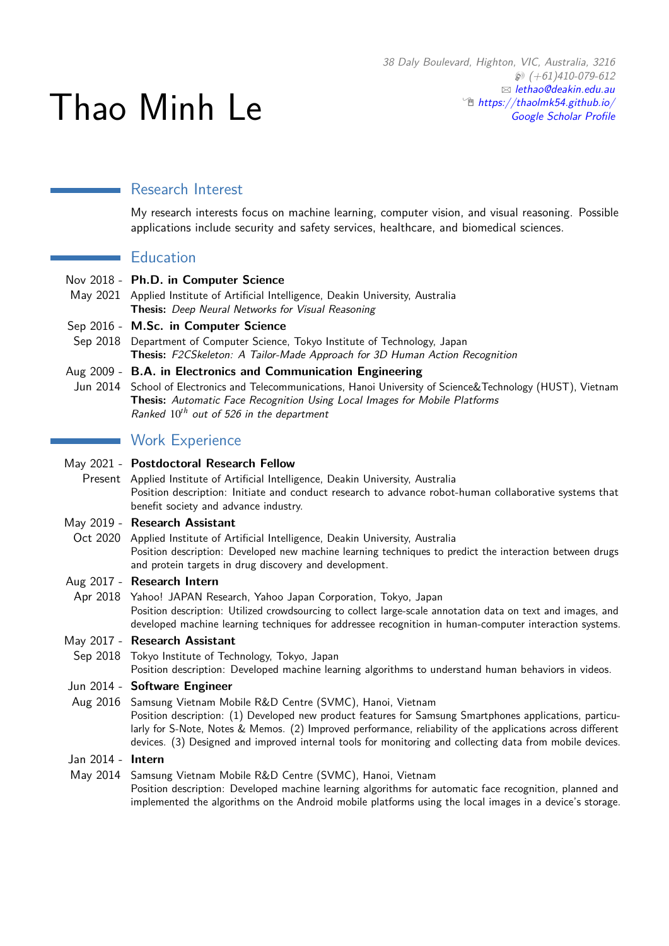# Thao Minh Le

# Research Interest

My research interests focus on machine learning, computer vision, and visual reasoning. Possible applications include security and safety services, healthcare, and biomedical sciences.

## **Education**

- Nov 2018 **Ph.D. in Computer Science**
- May 2021 Applied Institute of Artificial Intelligence, Deakin University, Australia **Thesis:** Deep Neural Networks for Visual Reasoning

## Sep 2016 - **M.Sc. in Computer Science**

Sep 2018 Department of Computer Science, Tokyo Institute of Technology, Japan **Thesis:** F2CSkeleton: A Tailor-Made Approach for 3D Human Action Recognition

#### Aug 2009 - **B.A. in Electronics and Communication Engineering**

Jun 2014 School of Electronics and Telecommunications, Hanoi University of Science&Technology (HUST), Vietnam **Thesis:** Automatic Face Recognition Using Local Images for Mobile Platforms Ranked 10*th* out of 526 in the department

# **Work Experience**

#### May 2021 - **Postdoctoral Research Fellow**

Present Applied Institute of Artificial Intelligence, Deakin University, Australia Position description: Initiate and conduct research to advance robot-human collaborative systems that benefit society and advance industry.

## May 2019 - **Research Assistant**

Oct 2020 Applied Institute of Artificial Intelligence, Deakin University, Australia Position description: Developed new machine learning techniques to predict the interaction between drugs and protein targets in drug discovery and development.

## Aug 2017 - **Research Intern**

Apr 2018 Yahoo! JAPAN Research, Yahoo Japan Corporation, Tokyo, Japan Position description: Utilized crowdsourcing to collect large-scale annotation data on text and images, and developed machine learning techniques for addressee recognition in human-computer interaction systems.

## May 2017 - **Research Assistant**

Sep 2018 Tokyo Institute of Technology, Tokyo, Japan

Position description: Developed machine learning algorithms to understand human behaviors in videos.

#### Jun 2014 - **Software Engineer**

- Aug 2016 Samsung Vietnam Mobile R&D Centre (SVMC), Hanoi, Vietnam Position description: (1) Developed new product features for Samsung Smartphones applications, particularly for S-Note, Notes & Memos. (2) Improved performance, reliability of the applications across different devices. (3) Designed and improved internal tools for monitoring and collecting data from mobile devices.
- Jan 2014 **Intern**
- May 2014 Samsung Vietnam Mobile R&D Centre (SVMC), Hanoi, Vietnam Position description: Developed machine learning algorithms for automatic face recognition, planned and implemented the algorithms on the Android mobile platforms using the local images in a device's storage.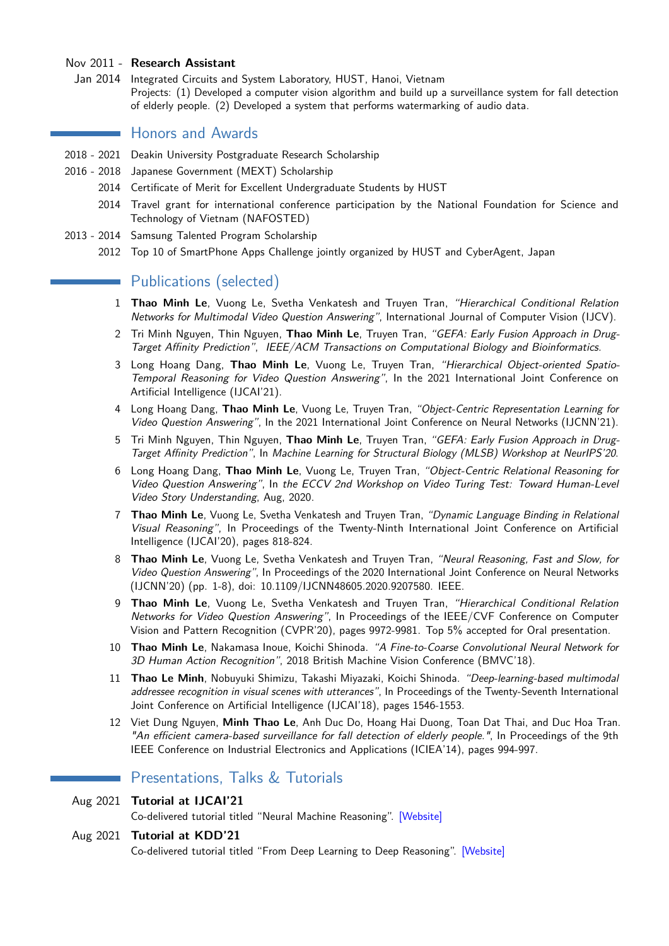#### Nov 2011 - **Research Assistant**

Jan 2014 Integrated Circuits and System Laboratory, HUST, Hanoi, Vietnam Projects: (1) Developed a computer vision algorithm and build up a surveillance system for fall detection of elderly people. (2) Developed a system that performs watermarking of audio data.

## **Honors and Awards**

- 2018 2021 Deakin University Postgraduate Research Scholarship
- 2016 2018 Japanese Government (MEXT) Scholarship
	- 2014 Certificate of Merit for Excellent Undergraduate Students by HUST
		- 2014 Travel grant for international conference participation by the National Foundation for Science and Technology of Vietnam (NAFOSTED)
- 2013 2014 Samsung Talented Program Scholarship
	- 2012 Top 10 of SmartPhone Apps Challenge jointly organized by HUST and CyberAgent, Japan

# **Publications (selected)**

- 1 **Thao Minh Le**, Vuong Le, Svetha Venkatesh and Truyen Tran, "Hierarchical Conditional Relation Networks for Multimodal Video Question Answering", International Journal of Computer Vision (IJCV).
- 2 Tri Minh Nguyen, Thin Nguyen, **Thao Minh Le**, Truyen Tran, "GEFA: Early Fusion Approach in Drug-Target Affinity Prediction", IEEE/ACM Transactions on Computational Biology and Bioinformatics.
- 3 Long Hoang Dang, **Thao Minh Le**, Vuong Le, Truyen Tran, "Hierarchical Object-oriented Spatio-Temporal Reasoning for Video Question Answering", In the 2021 International Joint Conference on Artificial Intelligence (IJCAI'21).
- 4 Long Hoang Dang, **Thao Minh Le**, Vuong Le, Truyen Tran, "Object-Centric Representation Learning for Video Question Answering", In the 2021 International Joint Conference on Neural Networks (IJCNN'21).
- 5 Tri Minh Nguyen, Thin Nguyen, **Thao Minh Le**, Truyen Tran, "GEFA: Early Fusion Approach in Drug-Target Affinity Prediction", In Machine Learning for Structural Biology (MLSB) Workshop at NeurIPS'20.
- 6 Long Hoang Dang, **Thao Minh Le**, Vuong Le, Truyen Tran, "Object-Centric Relational Reasoning for Video Question Answering", In the ECCV 2nd Workshop on Video Turing Test: Toward Human-Level Video Story Understanding, Aug, 2020.
- 7 **Thao Minh Le**, Vuong Le, Svetha Venkatesh and Truyen Tran, "Dynamic Language Binding in Relational Visual Reasoning", In Proceedings of the Twenty-Ninth International Joint Conference on Artificial Intelligence (IJCAI'20), pages 818-824.
- 8 **Thao Minh Le**, Vuong Le, Svetha Venkatesh and Truyen Tran, "Neural Reasoning, Fast and Slow, for Video Question Answering", In Proceedings of the 2020 International Joint Conference on Neural Networks (IJCNN'20) (pp. 1-8), doi: 10.1109/IJCNN48605.2020.9207580. IEEE.
- 9 **Thao Minh Le**, Vuong Le, Svetha Venkatesh and Truyen Tran, "Hierarchical Conditional Relation Networks for Video Question Answering", In Proceedings of the IEEE/CVF Conference on Computer Vision and Pattern Recognition (CVPR'20), pages 9972-9981. Top 5% accepted for Oral presentation.
- 10 **Thao Minh Le**, Nakamasa Inoue, Koichi Shinoda. "A Fine-to-Coarse Convolutional Neural Network for 3D Human Action Recognition", 2018 British Machine Vision Conference (BMVC'18).
- 11 **Thao Le Minh**, Nobuyuki Shimizu, Takashi Miyazaki, Koichi Shinoda. "Deep-learning-based multimodal addressee recognition in visual scenes with utterances", In Proceedings of the Twenty-Seventh International Joint Conference on Artificial Intelligence (IJCAI'18), pages 1546-1553.
- 12 Viet Dung Nguyen, **Minh Thao Le**, Anh Duc Do, Hoang Hai Duong, Toan Dat Thai, and Duc Hoa Tran. "An efficient camera-based surveillance for fall detection of elderly people.", In Proceedings of the 9th IEEE Conference on Industrial Electronics and Applications (ICIEA'14), pages 994-997.

## Presentations, Talks & Tutorials

Aug 2021 **Tutorial at IJCAI'21**

Co-delivered tutorial titled "Neural Machine Reasoning". [\[Website\]](https://neuralreasoning.github.io/)

#### Aug 2021 **Tutorial at KDD'21**

Co-delivered tutorial titled "From Deep Learning to Deep Reasoning". [\[Website\]](https://truyentran.github.io/kdd2021-tute.html)